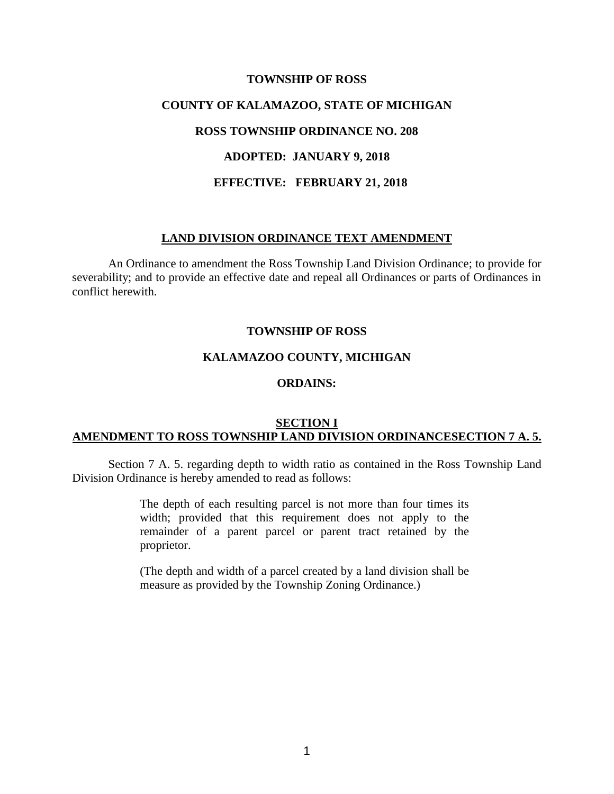# **TOWNSHIP OF ROSS COUNTY OF KALAMAZOO, STATE OF MICHIGAN ROSS TOWNSHIP ORDINANCE NO. 208 ADOPTED: JANUARY 9, 2018 EFFECTIVE: FEBRUARY 21, 2018**

### **LAND DIVISION ORDINANCE TEXT AMENDMENT**

An Ordinance to amendment the Ross Township Land Division Ordinance; to provide for severability; and to provide an effective date and repeal all Ordinances or parts of Ordinances in conflict herewith.

### **TOWNSHIP OF ROSS**

### **KALAMAZOO COUNTY, MICHIGAN**

# **ORDAINS:**

## **SECTION I AMENDMENT TO ROSS TOWNSHIP LAND DIVISION ORDINANCESECTION 7 A. 5.**

Section 7 A. 5. regarding depth to width ratio as contained in the Ross Township Land Division Ordinance is hereby amended to read as follows:

> The depth of each resulting parcel is not more than four times its width; provided that this requirement does not apply to the remainder of a parent parcel or parent tract retained by the proprietor.

> (The depth and width of a parcel created by a land division shall be measure as provided by the Township Zoning Ordinance.)